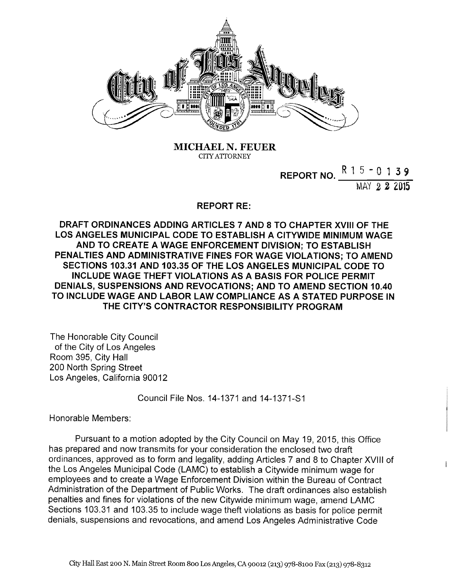

MICHAEL N. FEVER CITY ATTORNEY

> REPORT NO.  $\frac{N+3-0}{3}$  3 9 ~hAY 2 2015

> > $\overline{1}$

## **REPORT RE:**

DRAFT ORDINANCES ADDING ARTICLES 7 AND 8 TO CHAPTER XVIII OF THE LOS ANGELES MUNICIPAL CODE TO ESTABLISH A CITYWIDE MINIMUM WAGE AND TO CREATE A WAGE ENFORCEMENT DIVISION; TO ESTABLISH PENALTIES AND ADMINISTRATIVE FINES FOR WAGE VIOLATIONS; TO AMEND SECTIONS 103.31 AND 103.35 OF THE LOS ANGELES MUNICIPAL CODE TO INCLUDE WAGE THEFT VIOLATIONS AS A BASIS FOR POLICE PERMIT DENIALS, SUSPENSIONS AND REVOCATIONS; AND TO AMEND SECTION 10.40 TO INCLUDE WAGE AND LABOR LAW COMPLIANCE AS A STATED PURPOSE IN THE CITY'S CONTRACTOR RESPONSIBILITY PROGRAM

The Honorable City Council of the City of Los Angeles Room 395, City Hall 200 North Spring Street Los Angeles, California 90012

Council File Nos. 14-1371 and 14-1371-S1

Honorable Members:

Pursuant to a motion adopted by the City Council on May 19, 2015, this Office has prepared and now transmits for your consideration the enclosed two draft ordinances, approved as to form and legality, adding Articles 7 and 8 to Chapter XVIII of the Los Angeles Municipal Code (LAMC) to establish a Citywide minimum wage for employees and to create a Wage Enforcement Division within the Bureau of Contract Administration of the Department of Public Works. The draft ordinances also establish penalties and fines for violations of the new Citywide minimum wage, amend LAMC Sections 103.31 and 103.35 to include wage theft violations as basis for police permit denials, suspensions and revocations, and amend Los Angeles Administrative Code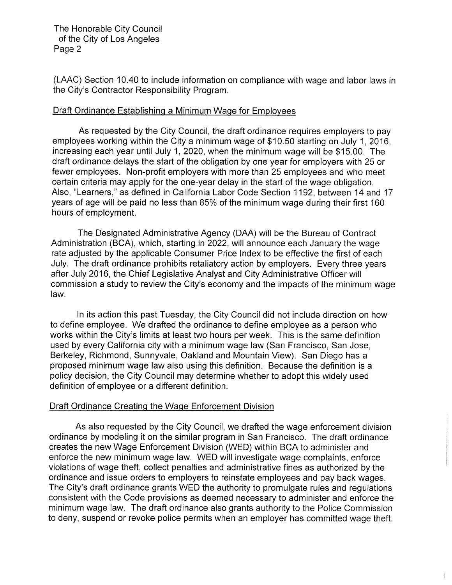The Honorable City Council of the City of Los Angeles Page 2

(LAAC) Section 10.40 to include information on compliance with wage and labor laws in the City's Contractor Responsibility Program.

## Draft Ordinance Establishing a Minimum Wage for Employees

As requested by the City Council, the draft ordinance requires employers to pay employees working within the City a minimum wage of \$10.50 starting on July 1, 2016, increasing each year until July 1, 2020, when the minimum wage will be \$15.00. The draft ordinance delays the start of the obligation by one year for employers with 25 or fewer employees. Non-profit employers with more than 25 employees and who meet certain criteria may apply for the one-year delay in the start of the wage obligation. Afso, "Learners," as defined in California Labor Code Section 1192, between 14 and 17 years of age will be paid no less than 85% of the minimum wage during their first 160 hours of employment.

The Designated Administrative Agency (DAA) will be the Bureau of Contract Administration (BCA), which, starting in 2022, will announce each January the wage rate adjusted by the applicable Consumer Price Index to be effective the first of each July. The draft ordinance prohibits retaliatory action by employers. Every three years after July 2016, the Chief Legislative Analyst and City Administrative Officer will commission a study to review the City's economy and the impacts of the minimum wage law.

In its action this past Tuesday, the City Council did not include direction on how to define employee. We drafted the ordinance to define employee as a person who works within the City's limits at least two hours per week. This is the same definition used by every California city with a minimum wage law (San Francisco, San Jose, Berkeley, Richmond, Sunnyvale, Oakland and Mountain View). San Diego has a proposed minimum wage law also using this definition. Because the definition is a policy decision, the City Council may determine whether to adopt this widely used definition of employee or a different definition.

## Draft Ordinance Creating the Wage Enforcement Division

As also requested by the City Council, we drafted the wage enforcement division ordinance by modeling it on the similar program in San Francisco. The draft ordinance creates the new Wage Enforcement Division (WED) within BCA to administer and enforce the new minimum wage law. WED will investigate wage complaints, enforce violations of wage theft, collect penalties and administrative fines as authorized by the ordinance and issue orders to employers to reinstate employees and pay back wages. The City's draft ordinance grants WED the authority to promulgate rules and regulations consistent with the Code provisions as deemed necessary to administer and enforce the minimum wage law. The draft ordinance also grants authority to the Police Commission to deny, suspend or revoke police permits when an employer has committed wage theft.

 $\mathfrak{f}$